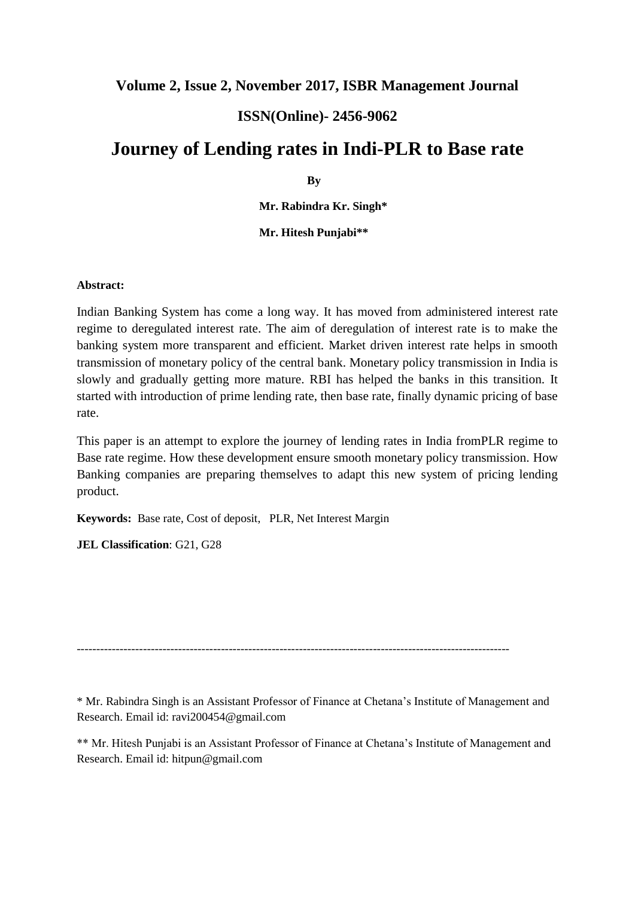# **Volume 2, Issue 2, November 2017, ISBR Management Journal**

# **ISSN(Online)- 2456-9062**

# **Journey of Lending rates in Indi-PLR to Base rate**

**By**

**Mr. Rabindra Kr. Singh\***

**Mr. Hitesh Punjabi\*\***

#### **Abstract:**

Indian Banking System has come a long way. It has moved from administered interest rate regime to deregulated interest rate. The aim of deregulation of interest rate is to make the banking system more transparent and efficient. Market driven interest rate helps in smooth transmission of monetary policy of the central bank. Monetary policy transmission in India is slowly and gradually getting more mature. RBI has helped the banks in this transition. It started with introduction of prime lending rate, then base rate, finally dynamic pricing of base rate.

This paper is an attempt to explore the journey of lending rates in India fromPLR regime to Base rate regime. How these development ensure smooth monetary policy transmission. How Banking companies are preparing themselves to adapt this new system of pricing lending product.

**Keywords:** Base rate, Cost of deposit, PLR, Net Interest Margin

**JEL Classification**: G21, G28

---------------------------------------------------------------------------------------------------------------

\* Mr. Rabindra Singh is an Assistant Professor of Finance at Chetana's Institute of Management and Research. Email id: ravi200454@gmail.com

\*\* Mr. Hitesh Punjabi is an Assistant Professor of Finance at Chetana's Institute of Management and Research. Email id: hitpun@gmail.com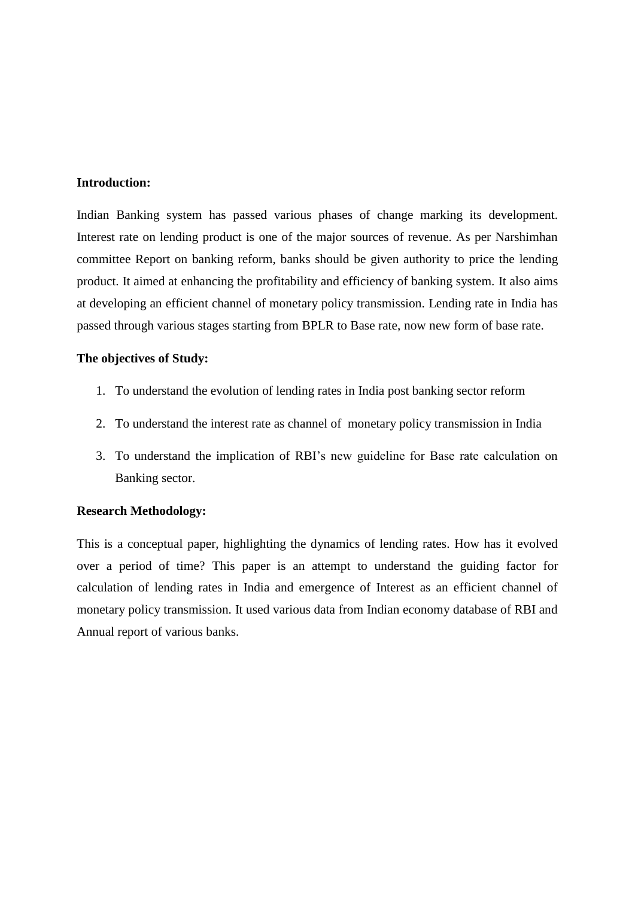#### **Introduction:**

Indian Banking system has passed various phases of change marking its development. Interest rate on lending product is one of the major sources of revenue. As per Narshimhan committee Report on banking reform, banks should be given authority to price the lending product. It aimed at enhancing the profitability and efficiency of banking system. It also aims at developing an efficient channel of monetary policy transmission. Lending rate in India has passed through various stages starting from BPLR to Base rate, now new form of base rate.

#### **The objectives of Study:**

- 1. To understand the evolution of lending rates in India post banking sector reform
- 2. To understand the interest rate as channel of monetary policy transmission in India
- 3. To understand the implication of RBI's new guideline for Base rate calculation on Banking sector.

#### **Research Methodology:**

This is a conceptual paper, highlighting the dynamics of lending rates. How has it evolved over a period of time? This paper is an attempt to understand the guiding factor for calculation of lending rates in India and emergence of Interest as an efficient channel of monetary policy transmission. It used various data from Indian economy database of RBI and Annual report of various banks.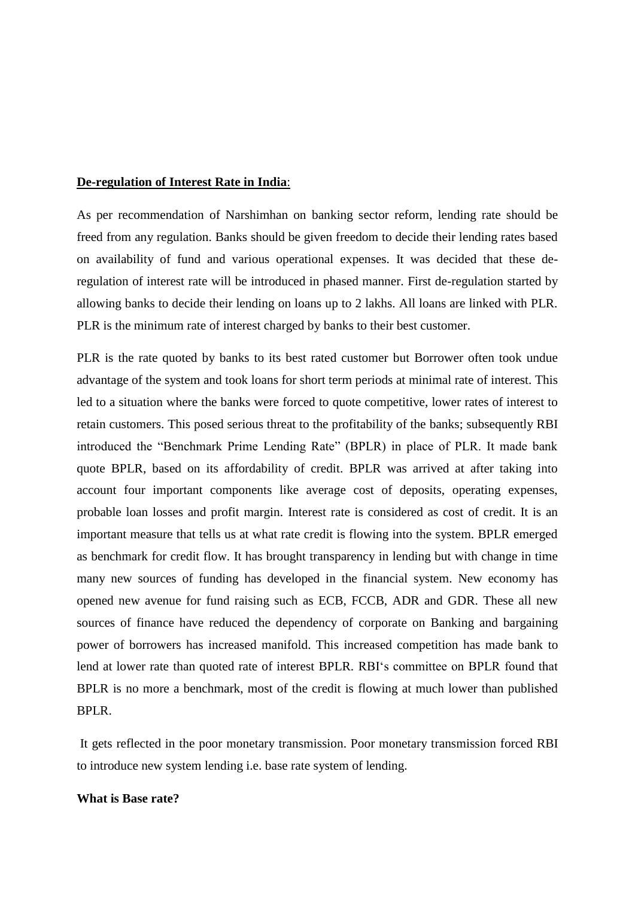#### **De-regulation of Interest Rate in India**:

As per recommendation of Narshimhan on banking sector reform, lending rate should be freed from any regulation. Banks should be given freedom to decide their lending rates based on availability of fund and various operational expenses. It was decided that these deregulation of interest rate will be introduced in phased manner. First de-regulation started by allowing banks to decide their lending on loans up to 2 lakhs. All loans are linked with PLR. PLR is the minimum rate of interest charged by banks to their best customer.

PLR is the rate quoted by banks to its best rated customer but Borrower often took undue advantage of the system and took loans for short term periods at minimal rate of interest. This led to a situation where the banks were forced to quote competitive, lower rates of interest to retain customers. This posed serious threat to the profitability of the banks; subsequently RBI introduced the "Benchmark Prime Lending Rate" (BPLR) in place of PLR. It made bank quote BPLR, based on its affordability of credit. BPLR was arrived at after taking into account four important components like average cost of deposits, operating expenses, probable loan losses and profit margin. Interest rate is considered as cost of credit. It is an important measure that tells us at what rate credit is flowing into the system. BPLR emerged as benchmark for credit flow. It has brought transparency in lending but with change in time many new sources of funding has developed in the financial system. New economy has opened new avenue for fund raising such as ECB, FCCB, ADR and GDR. These all new sources of finance have reduced the dependency of corporate on Banking and bargaining power of borrowers has increased manifold. This increased competition has made bank to lend at lower rate than quoted rate of interest BPLR. RBI's committee on BPLR found that BPLR is no more a benchmark, most of the credit is flowing at much lower than published BPLR.

It gets reflected in the poor monetary transmission. Poor monetary transmission forced RBI to introduce new system lending i.e. base rate system of lending.

#### **What is Base rate?**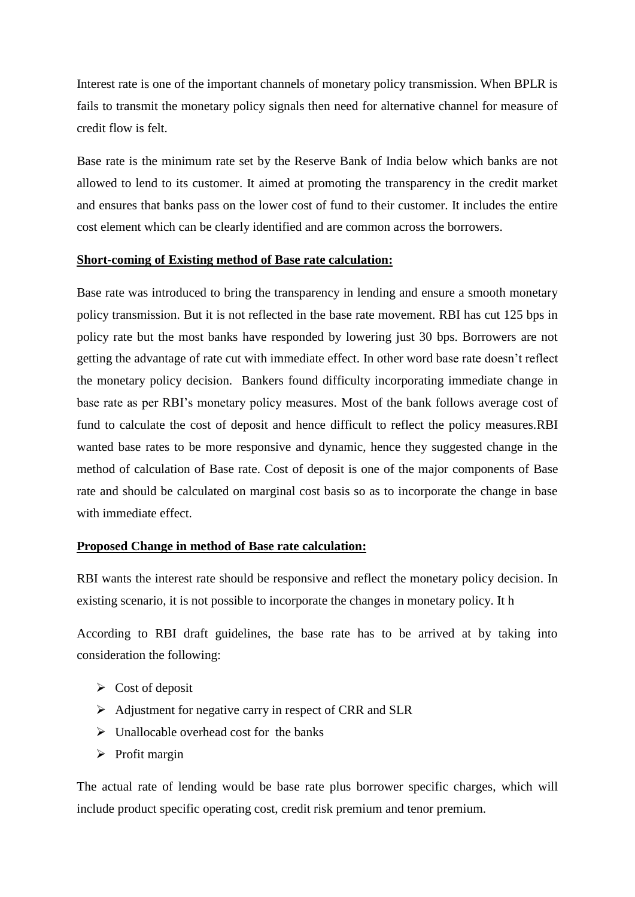Interest rate is one of the important channels of monetary policy transmission. When BPLR is fails to transmit the monetary policy signals then need for alternative channel for measure of credit flow is felt.

Base rate is the minimum rate set by the Reserve Bank of India below which banks are not allowed to lend to its customer. It aimed at promoting the transparency in the credit market and ensures that banks pass on the lower cost of fund to their customer. It includes the entire cost element which can be clearly identified and are common across the borrowers.

#### **Short-coming of Existing method of Base rate calculation:**

Base rate was introduced to bring the transparency in lending and ensure a smooth monetary policy transmission. But it is not reflected in the base rate movement. RBI has cut 125 bps in policy rate but the most banks have responded by lowering just 30 bps. Borrowers are not getting the advantage of rate cut with immediate effect. In other word base rate doesn't reflect the monetary policy decision. Bankers found difficulty incorporating immediate change in base rate as per RBI's monetary policy measures. Most of the bank follows average cost of fund to calculate the cost of deposit and hence difficult to reflect the policy measures.RBI wanted base rates to be more responsive and dynamic, hence they suggested change in the method of calculation of Base rate. Cost of deposit is one of the major components of Base rate and should be calculated on marginal cost basis so as to incorporate the change in base with immediate effect.

#### **Proposed Change in method of Base rate calculation:**

RBI wants the interest rate should be responsive and reflect the monetary policy decision. In existing scenario, it is not possible to incorporate the changes in monetary policy. It h

According to RBI draft guidelines, the base rate has to be arrived at by taking into consideration the following:

- $\triangleright$  Cost of deposit
- $\triangleright$  Adjustment for negative carry in respect of CRR and SLR
- $\triangleright$  Unallocable overhead cost for the banks
- $\triangleright$  Profit margin

The actual rate of lending would be base rate plus borrower specific charges, which will include product specific operating cost, credit risk premium and tenor premium.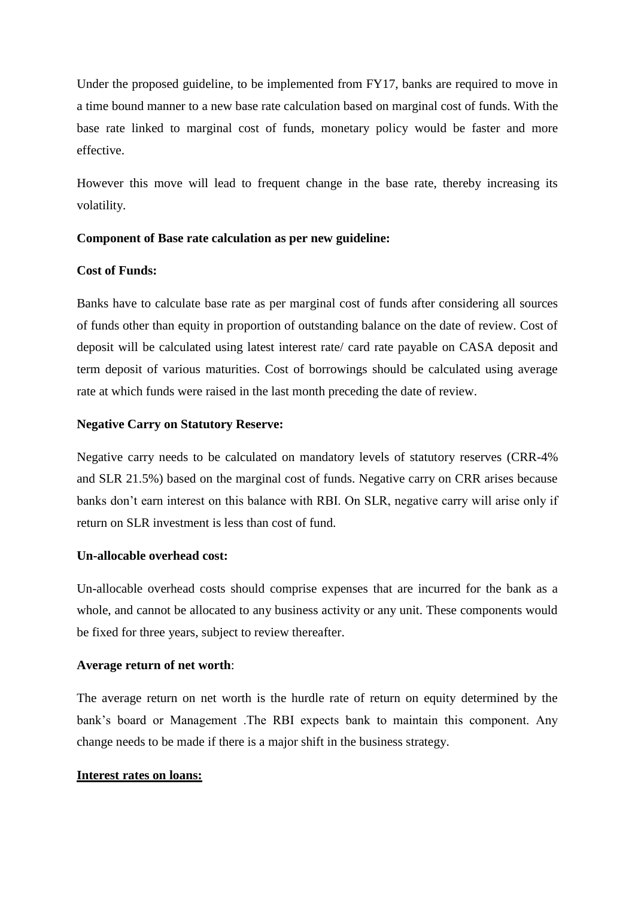Under the proposed guideline, to be implemented from FY17, banks are required to move in a time bound manner to a new base rate calculation based on marginal cost of funds. With the base rate linked to marginal cost of funds, monetary policy would be faster and more effective.

However this move will lead to frequent change in the base rate, thereby increasing its volatility.

#### **Component of Base rate calculation as per new guideline:**

### **Cost of Funds:**

Banks have to calculate base rate as per marginal cost of funds after considering all sources of funds other than equity in proportion of outstanding balance on the date of review. Cost of deposit will be calculated using latest interest rate/ card rate payable on CASA deposit and term deposit of various maturities. Cost of borrowings should be calculated using average rate at which funds were raised in the last month preceding the date of review.

#### **Negative Carry on Statutory Reserve:**

Negative carry needs to be calculated on mandatory levels of statutory reserves (CRR-4% and SLR 21.5%) based on the marginal cost of funds. Negative carry on CRR arises because banks don't earn interest on this balance with RBI. On SLR, negative carry will arise only if return on SLR investment is less than cost of fund.

#### **Un-allocable overhead cost:**

Un-allocable overhead costs should comprise expenses that are incurred for the bank as a whole, and cannot be allocated to any business activity or any unit. These components would be fixed for three years, subject to review thereafter.

#### **Average return of net worth**:

The average return on net worth is the hurdle rate of return on equity determined by the bank's board or Management .The RBI expects bank to maintain this component. Any change needs to be made if there is a major shift in the business strategy.

#### **Interest rates on loans:**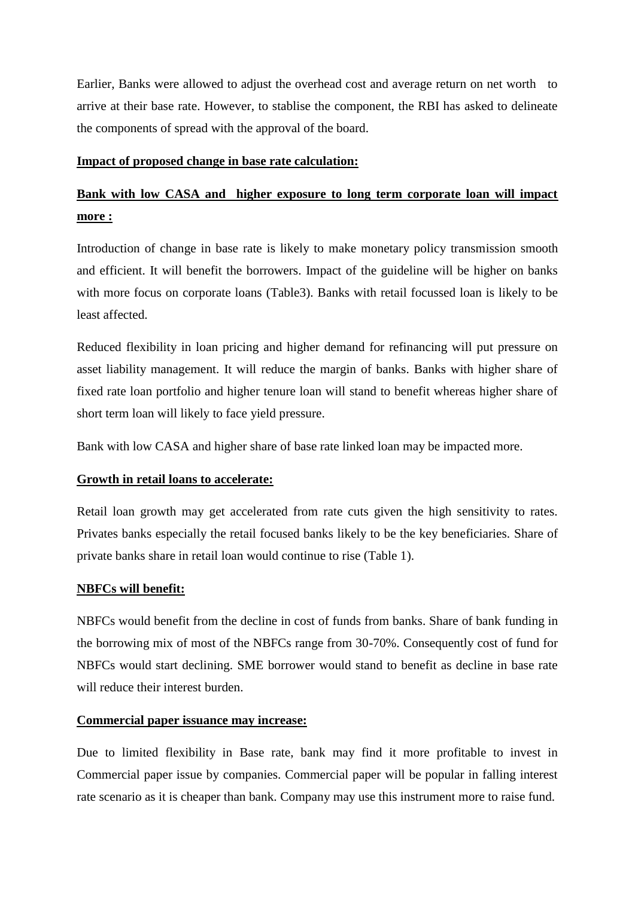Earlier, Banks were allowed to adjust the overhead cost and average return on net worth to arrive at their base rate. However, to stablise the component, the RBI has asked to delineate the components of spread with the approval of the board.

#### **Impact of proposed change in base rate calculation:**

# **Bank with low CASA and higher exposure to long term corporate loan will impact more :**

Introduction of change in base rate is likely to make monetary policy transmission smooth and efficient. It will benefit the borrowers. Impact of the guideline will be higher on banks with more focus on corporate loans (Table3). Banks with retail focussed loan is likely to be least affected.

Reduced flexibility in loan pricing and higher demand for refinancing will put pressure on asset liability management. It will reduce the margin of banks. Banks with higher share of fixed rate loan portfolio and higher tenure loan will stand to benefit whereas higher share of short term loan will likely to face yield pressure.

Bank with low CASA and higher share of base rate linked loan may be impacted more.

# **Growth in retail loans to accelerate:**

Retail loan growth may get accelerated from rate cuts given the high sensitivity to rates. Privates banks especially the retail focused banks likely to be the key beneficiaries. Share of private banks share in retail loan would continue to rise (Table 1).

#### **NBFCs will benefit:**

NBFCs would benefit from the decline in cost of funds from banks. Share of bank funding in the borrowing mix of most of the NBFCs range from 30-70%. Consequently cost of fund for NBFCs would start declining. SME borrower would stand to benefit as decline in base rate will reduce their interest burden.

#### **Commercial paper issuance may increase:**

Due to limited flexibility in Base rate, bank may find it more profitable to invest in Commercial paper issue by companies. Commercial paper will be popular in falling interest rate scenario as it is cheaper than bank. Company may use this instrument more to raise fund.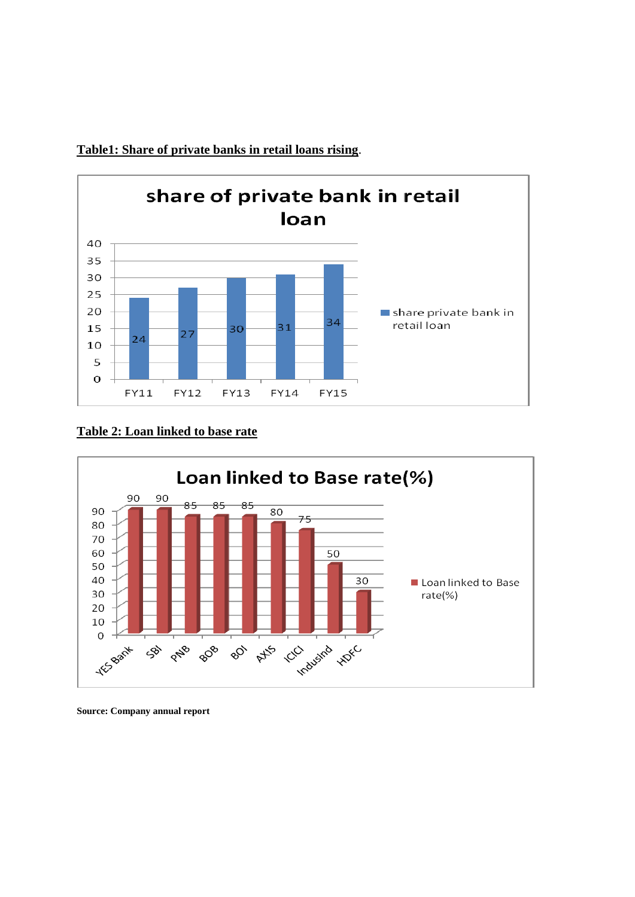

**Table1: Share of private banks in retail loans rising**.

### **Table 2: Loan linked to base rate**



**Source: Company annual report**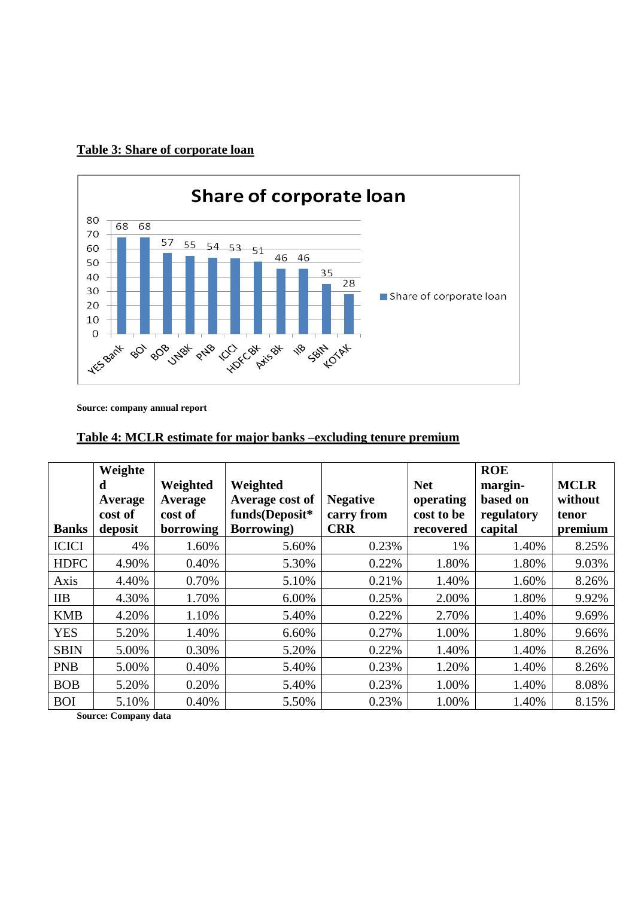# **Table 3: Share of corporate loan**



**Source: company annual report**

# **Table 4: MCLR estimate for major banks –excluding tenure premium**

|              | Weighte |           |                    |                 |            | <b>ROE</b> |             |
|--------------|---------|-----------|--------------------|-----------------|------------|------------|-------------|
|              | d       | Weighted  | Weighted           |                 | <b>Net</b> | margin-    | <b>MCLR</b> |
|              | Average | Average   | Average cost of    | <b>Negative</b> | operating  | based on   | without     |
|              | cost of | cost of   | funds(Deposit*     | carry from      | cost to be | regulatory | tenor       |
| <b>Banks</b> | deposit | borrowing | <b>Borrowing</b> ) | <b>CRR</b>      | recovered  | capital    | premium     |
| <b>ICICI</b> | 4%      | 1.60%     | 5.60%              | 0.23%           | 1%         | 1.40%      | 8.25%       |
| <b>HDFC</b>  | 4.90%   | 0.40%     | 5.30%              | 0.22%           | 1.80%      | 1.80%      | 9.03%       |
| Axis         | 4.40%   | 0.70%     | 5.10%              | 0.21%           | 1.40%      | 1.60%      | 8.26%       |
| <b>IIB</b>   | 4.30%   | 1.70%     | 6.00%              | 0.25%           | 2.00%      | 1.80%      | 9.92%       |
| <b>KMB</b>   | 4.20%   | 1.10%     | 5.40%              | 0.22%           | 2.70%      | 1.40%      | 9.69%       |
| <b>YES</b>   | 5.20%   | 1.40%     | 6.60%              | 0.27%           | 1.00%      | 1.80%      | 9.66%       |
| <b>SBIN</b>  | 5.00%   | 0.30%     | 5.20%              | 0.22%           | 1.40%      | 1.40%      | 8.26%       |
| <b>PNB</b>   | 5.00%   | 0.40%     | 5.40%              | 0.23%           | 1.20%      | 1.40%      | 8.26%       |
| <b>BOB</b>   | 5.20%   | 0.20%     | 5.40%              | 0.23%           | 1.00%      | 1.40%      | 8.08%       |
| <b>BOI</b>   | 5.10%   | 0.40%     | 5.50%              | 0.23%           | 1.00%      | 1.40%      | 8.15%       |

**Source: Company data**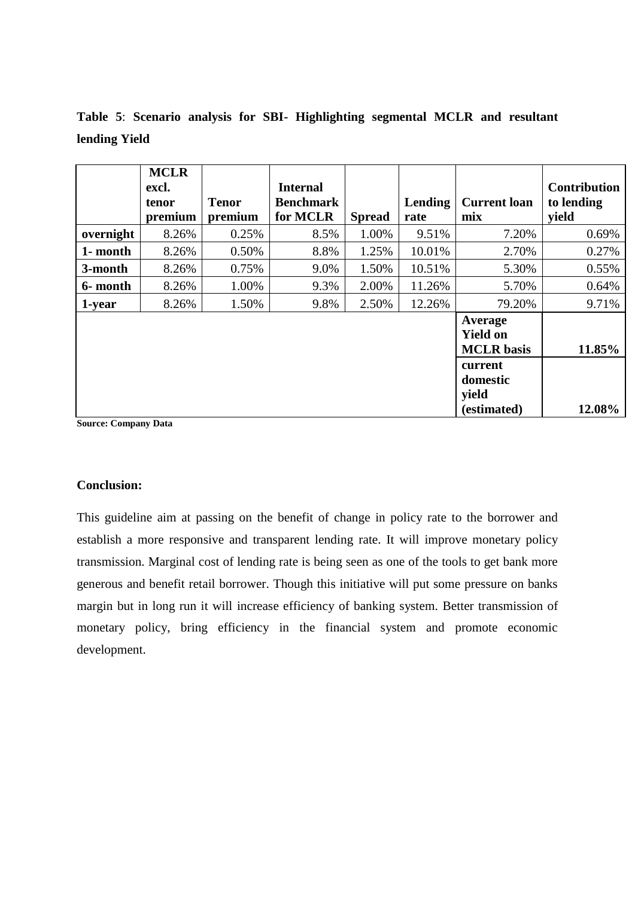|           | <b>MCLR</b><br>excl.<br>tenor<br>premium | <b>Tenor</b><br>premium | <b>Internal</b><br><b>Benchmark</b><br>for MCLR | <b>Spread</b> | Lending<br>rate | <b>Current loan</b><br>mix                      | <b>Contribution</b><br>to lending<br>vield |
|-----------|------------------------------------------|-------------------------|-------------------------------------------------|---------------|-----------------|-------------------------------------------------|--------------------------------------------|
| overnight | 8.26%                                    | 0.25%                   | 8.5%                                            | 1.00%         | 9.51%           | 7.20%                                           | 0.69%                                      |
| 1- month  | 8.26%                                    | 0.50%                   | 8.8%                                            | 1.25%         | 10.01%          | 2.70%                                           | 0.27%                                      |
| 3-month   | 8.26%                                    | 0.75%                   | 9.0%                                            | 1.50%         | 10.51%          | 5.30%                                           | 0.55%                                      |
| 6- month  | 8.26%                                    | 1.00%                   | 9.3%                                            | 2.00%         | 11.26%          | 5.70%                                           | 0.64%                                      |
| 1-year    | 8.26%                                    | 1.50%                   | 9.8%                                            | 2.50%         | 12.26%          | 79.20%                                          | 9.71%                                      |
|           |                                          |                         |                                                 |               |                 | Average<br><b>Yield on</b><br><b>MCLR</b> basis | 11.85%                                     |
|           |                                          |                         |                                                 |               |                 | current<br>domestic<br>yield<br>(estimated)     | 12.08%                                     |

**Table 5**: **Scenario analysis for SBI- Highlighting segmental MCLR and resultant lending Yield**

**Source: Company Data**

# **Conclusion:**

This guideline aim at passing on the benefit of change in policy rate to the borrower and establish a more responsive and transparent lending rate. It will improve monetary policy transmission. Marginal cost of lending rate is being seen as one of the tools to get bank more generous and benefit retail borrower. Though this initiative will put some pressure on banks margin but in long run it will increase efficiency of banking system. Better transmission of monetary policy, bring efficiency in the financial system and promote economic development.